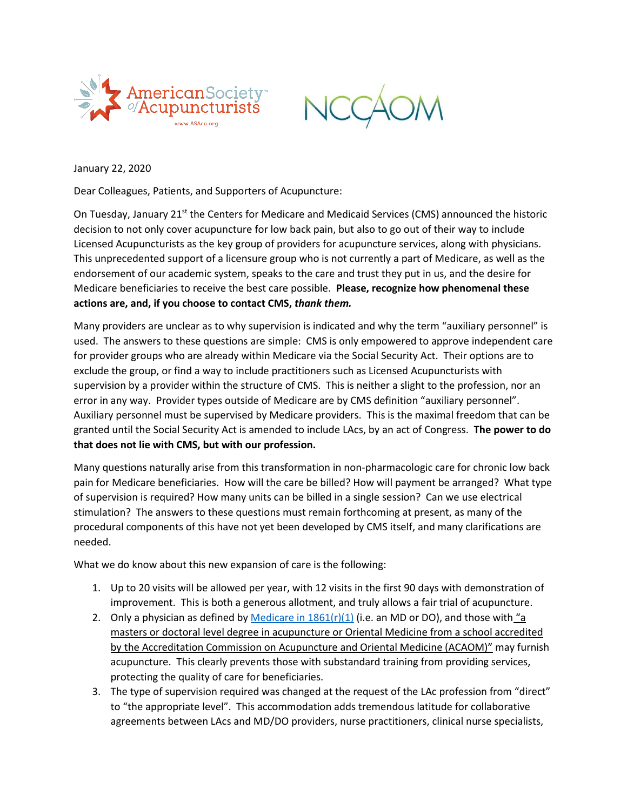



January 22, 2020

Dear Colleagues, Patients, and Supporters of Acupuncture:

On Tuesday, January 21<sup>st</sup> the Centers for Medicare and Medicaid Services (CMS) announced the historic decision to not only cover acupuncture for low back pain, but also to go out of their way to include Licensed Acupuncturists as the key group of providers for acupuncture services, along with physicians. This unprecedented support of a licensure group who is not currently a part of Medicare, as well as the endorsement of our academic system, speaks to the care and trust they put in us, and the desire for Medicare beneficiaries to receive the best care possible. **Please, recognize how phenomenal these actions are, and, if you choose to contact CMS,** *thank them.*

Many providers are unclear as to why supervision is indicated and why the term "auxiliary personnel" is used. The answers to these questions are simple: CMS is only empowered to approve independent care for provider groups who are already within Medicare via the Social Security Act. Their options are to exclude the group, or find a way to include practitioners such as Licensed Acupuncturists with supervision by a provider within the structure of CMS. This is neither a slight to the profession, nor an error in any way. Provider types outside of Medicare are by CMS definition "auxiliary personnel". Auxiliary personnel must be supervised by Medicare providers. This is the maximal freedom that can be granted until the Social Security Act is amended to include LAcs, by an act of Congress. **The power to do that does not lie with CMS, but with our profession.**

Many questions naturally arise from this transformation in non-pharmacologic care for chronic low back pain for Medicare beneficiaries. How will the care be billed? How will payment be arranged? What type of supervision is required? How many units can be billed in a single session? Can we use electrical stimulation? The answers to these questions must remain forthcoming at present, as many of the procedural components of this have not yet been developed by CMS itself, and many clarifications are needed.

What we do know about this new expansion of care is the following:

- 1. Up to 20 visits will be allowed per year, with 12 visits in the first 90 days with demonstration of improvement. This is both a generous allotment, and truly allows a fair trial of acupuncture.
- 2. Only a physician as defined by Medicare in  $1861(r)(1)$  (i.e. an MD or DO), and those with "a masters or doctoral level degree in acupuncture or Oriental Medicine from a school accredited by the Accreditation Commission on Acupuncture and Oriental Medicine (ACAOM)" may furnish acupuncture. This clearly prevents those with substandard training from providing services, protecting the quality of care for beneficiaries.
- 3. The type of supervision required was changed at the request of the LAc profession from "direct" to "the appropriate level". This accommodation adds tremendous latitude for collaborative agreements between LAcs and MD/DO providers, nurse practitioners, clinical nurse specialists,